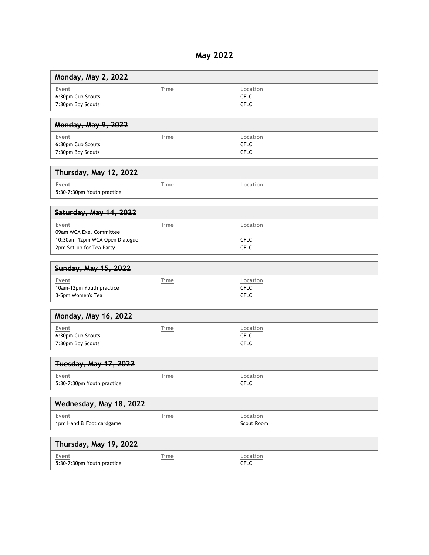## **May 2022**

| Monday, May 2, 2022                                                                            |             |                                        |  |
|------------------------------------------------------------------------------------------------|-------------|----------------------------------------|--|
| Event<br>6:30pm Cub Scouts<br>7:30pm Boy Scouts                                                | Time        | Location<br><b>CFLC</b><br><b>CFLC</b> |  |
| <b>Monday, May 9, 2022</b>                                                                     |             |                                        |  |
| Event<br>6:30pm Cub Scouts<br>7:30pm Boy Scouts                                                | Time        | Location<br><b>CFLC</b><br><b>CFLC</b> |  |
| Thursday, May 12, 2022                                                                         |             |                                        |  |
| Event<br>5:30-7:30pm Youth practice                                                            | Time        | Location                               |  |
| Saturday, May 14, 2022                                                                         |             |                                        |  |
| Event<br>09am WCA Exe. Committee<br>10:30am-12pm WCA Open Dialogue<br>2pm Set-up for Tea Party | Time        | Location<br><b>CFLC</b><br><b>CFLC</b> |  |
| Sunday, May 15, 2022                                                                           |             |                                        |  |
| Event<br>10am-12pm Youth practice<br>3-5pm Women's Tea                                         | Time        | Location<br><b>CFLC</b><br><b>CFLC</b> |  |
| <b>Monday, May 16, 2022</b>                                                                    |             |                                        |  |
| Event<br>6:30pm Cub Scouts<br>7:30pm Boy Scouts                                                | <b>Time</b> | Location<br><b>CFLC</b><br><b>CFLC</b> |  |
| <b>Tuesday, May 17, 2022</b>                                                                   |             |                                        |  |
| Event<br>5:30-7:30pm Youth practice                                                            | Time        | Location<br><b>CFLC</b>                |  |
| Wednesday, May 18, 2022                                                                        |             |                                        |  |
| Event<br>1pm Hand & Foot cardgame                                                              | <b>Time</b> | Location<br>Scout Room                 |  |
| Thursday, May 19, 2022                                                                         |             |                                        |  |
| Event<br>5:30-7:30pm Youth practice                                                            | <b>Time</b> | Location<br><b>CFLC</b>                |  |